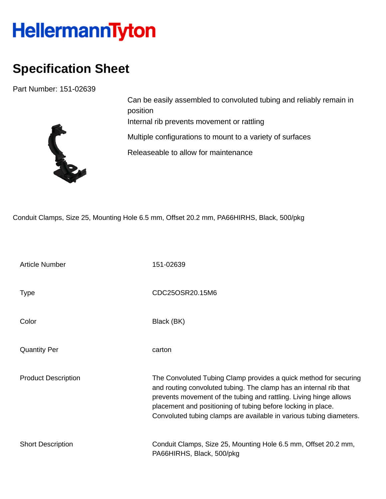## HellermannTyton

## **Specification Sheet**

Part Number: 151-02639



Can be easily assembled to convoluted tubing and reliably remain in position Internal rib prevents movement or rattling Multiple configurations to mount to a variety of surfaces Releaseable to allow for maintenance

Conduit Clamps, Size 25, Mounting Hole 6.5 mm, Offset 20.2 mm, PA66HIRHS, Black, 500/pkg

| <b>Article Number</b>      | 151-02639                                                                                                                                                                                                                                                                                                                                         |
|----------------------------|---------------------------------------------------------------------------------------------------------------------------------------------------------------------------------------------------------------------------------------------------------------------------------------------------------------------------------------------------|
| <b>Type</b>                | CDC25OSR20.15M6                                                                                                                                                                                                                                                                                                                                   |
| Color                      | Black (BK)                                                                                                                                                                                                                                                                                                                                        |
| <b>Quantity Per</b>        | carton                                                                                                                                                                                                                                                                                                                                            |
| <b>Product Description</b> | The Convoluted Tubing Clamp provides a quick method for securing<br>and routing convoluted tubing. The clamp has an internal rib that<br>prevents movement of the tubing and rattling. Living hinge allows<br>placement and positioning of tubing before locking in place.<br>Convoluted tubing clamps are available in various tubing diameters. |
| <b>Short Description</b>   | Conduit Clamps, Size 25, Mounting Hole 6.5 mm, Offset 20.2 mm,<br>PA66HIRHS, Black, 500/pkg                                                                                                                                                                                                                                                       |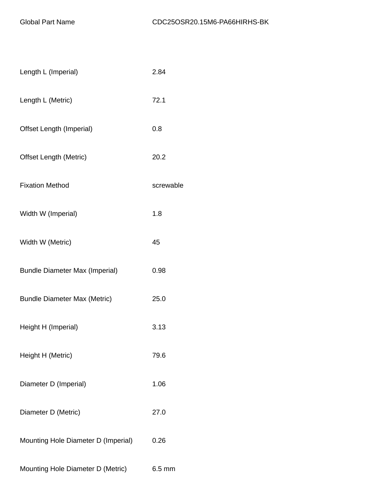| Length L (Imperial)                   | 2.84      |
|---------------------------------------|-----------|
| Length L (Metric)                     | 72.1      |
| Offset Length (Imperial)              | 0.8       |
| <b>Offset Length (Metric)</b>         | 20.2      |
| <b>Fixation Method</b>                | screwable |
| Width W (Imperial)                    | 1.8       |
| Width W (Metric)                      | 45        |
| <b>Bundle Diameter Max (Imperial)</b> | 0.98      |
| <b>Bundle Diameter Max (Metric)</b>   | 25.0      |
| Height H (Imperial)                   | 3.13      |
| Height H (Metric)                     | 79.6      |
| Diameter D (Imperial)                 | 1.06      |
| Diameter D (Metric)                   | 27.0      |
| Mounting Hole Diameter D (Imperial)   | 0.26      |
| Mounting Hole Diameter D (Metric)     | $6.5$ mm  |